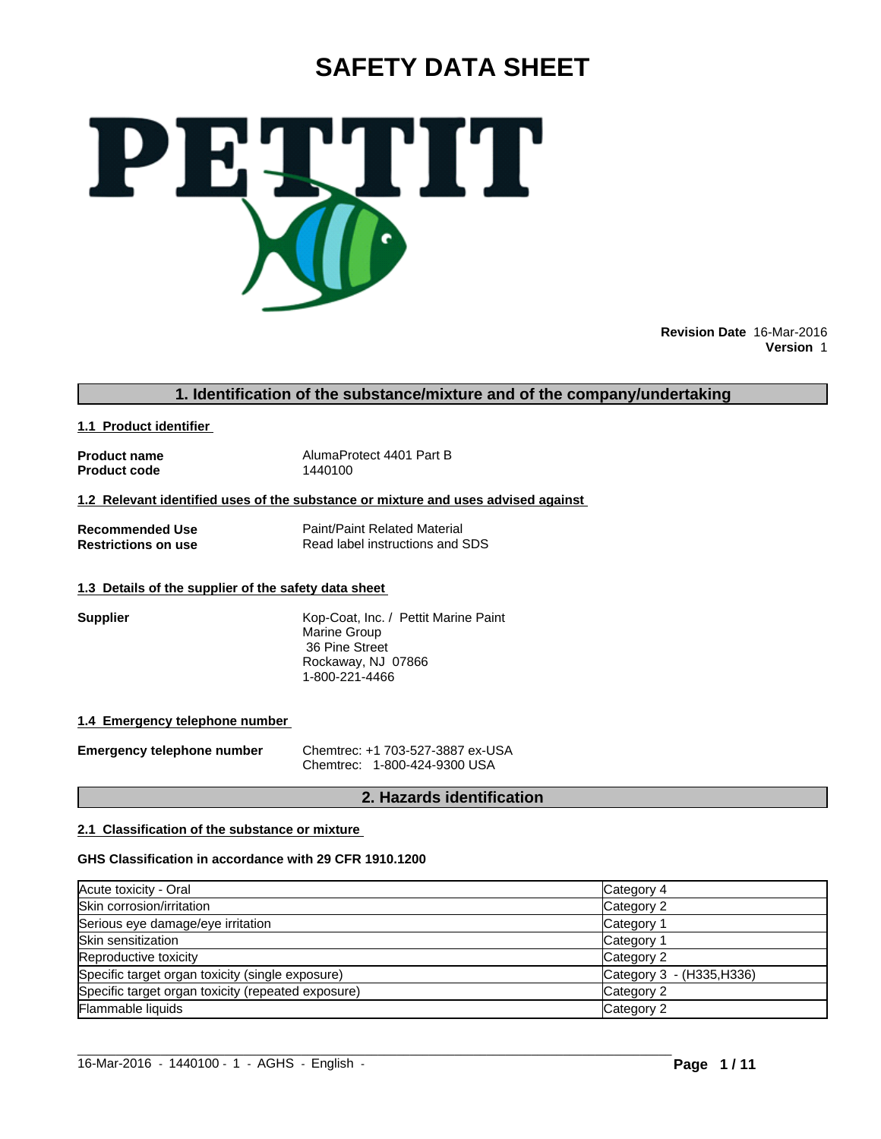# **SAFETY DATA SHEET**



**Revision Date** 16-Mar-2016 **Version** 1

# **1. Identification of the substance/mixture and of the company/undertaking**

**1.1 Product identifier** 

**Product code** 

**Product name**<br> **Product code**<br> **Product code**<br> **Alexandropy**<br>  $\frac{1440100}{1440100}$ 

**1.2 Relevant identified uses of the substance or mixture and uses advised against** 

**Recommended Use**<br> **Restrictions on use**<br> **Read label instructions and Separate Read label instructions and Separate Property Read label instructions and SDS** 

#### **1.3 Details of the supplier of the safety data sheet**

**Supplier** Kop-Coat, Inc. / Pettit Marine Paint Marine Group 36 Pine Street Rockaway, NJ 07866 1-800-221-4466

#### **1.4 Emergency telephone number**

**Emergency telephone number** Chemtrec: +1 703-527-3887 ex-USA Chemtrec: 1-800-424-9300 USA

# **2. Hazards identification**

### **2.1 Classification of the substance or mixture**

#### **GHS Classification in accordance with 29 CFR 1910.1200**

| Acute toxicity - Oral                              | Category 4                |
|----------------------------------------------------|---------------------------|
| Skin corrosion/irritation                          | Category 2                |
| Serious eye damage/eye irritation                  | Category 1                |
| Skin sensitization                                 | Category 1                |
| Reproductive toxicity                              | Category 2                |
| Specific target organ toxicity (single exposure)   | Category 3 - (H335, H336) |
| Specific target organ toxicity (repeated exposure) | Category 2                |
| Flammable liquids                                  | Category 2                |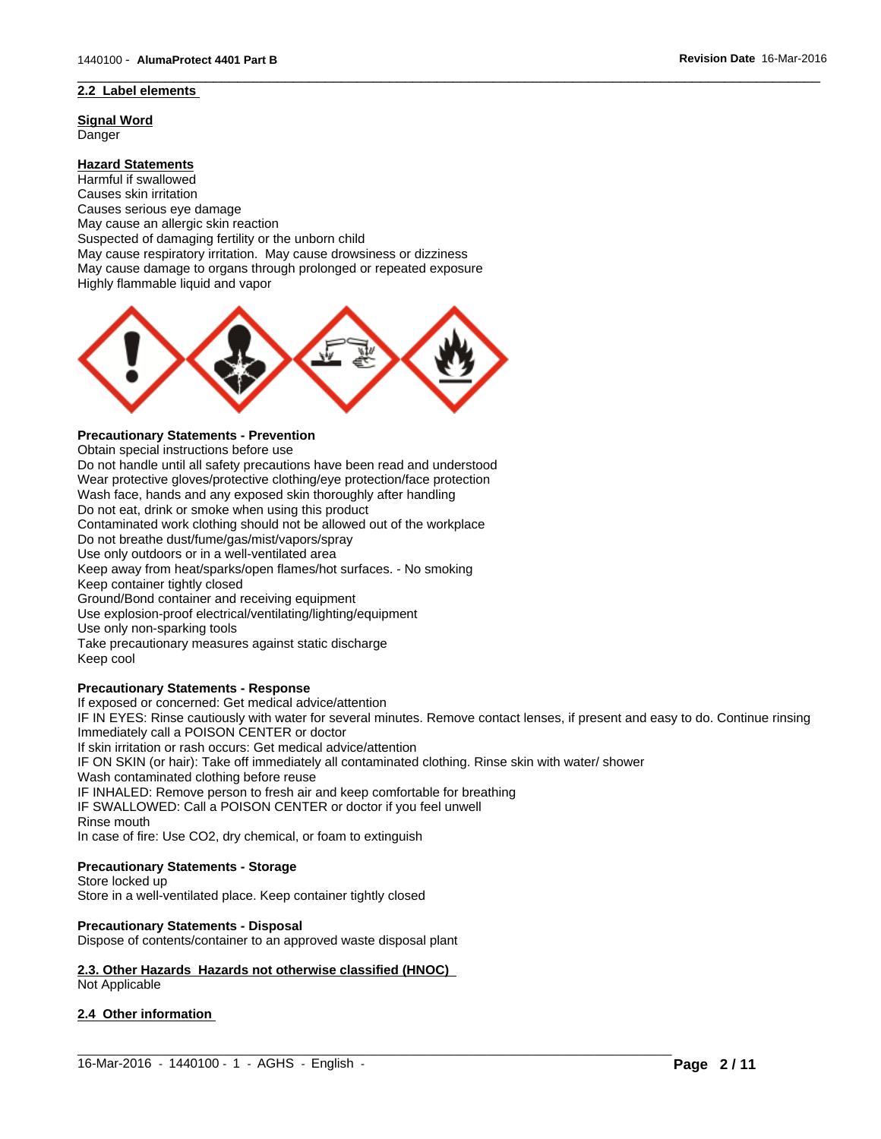# **2.2 Label elements**

**Signal Word** Danger

# **Hazard Statements**

Harmful if swallowed Causes skin irritation Causes serious eye damage May cause an allergic skin reaction Suspected of damaging fertility or the unborn child May cause respiratory irritation. May cause drowsiness or dizziness May cause damage to organs through prolonged or repeated exposure Highly flammable liquid and vapor



#### **Precautionary Statements - Prevention**

Obtain special instructions before use

Do not handle until all safety precautions have been read and understood Wear protective gloves/protective clothing/eye protection/face protection Wash face, hands and any exposed skin thoroughly after handling Do not eat, drink or smoke when using this product Contaminated work clothing should not be allowed out of the workplace Do not breathe dust/fume/gas/mist/vapors/spray Use only outdoors or in a well-ventilated area Keep away from heat/sparks/open flames/hot surfaces. - No smoking Keep container tightly closed Ground/Bond container and receiving equipment Use explosion-proof electrical/ventilating/lighting/equipment Use only non-sparking tools Take precautionary measures against static discharge Keep cool

#### **Precautionary Statements - Response**

If exposed or concerned: Get medical advice/attention

IF IN EYES: Rinse cautiously with water for several minutes. Remove contact lenses, if present and easy to do. Continue rinsing Immediately call a POISON CENTER or doctor

 $\_$  ,  $\_$  ,  $\_$  ,  $\_$  ,  $\_$  ,  $\_$  ,  $\_$  ,  $\_$  ,  $\_$  ,  $\_$  ,  $\_$  ,  $\_$  ,  $\_$  ,  $\_$  ,  $\_$  ,  $\_$  ,  $\_$  ,  $\_$  ,  $\_$  ,  $\_$  ,  $\_$  ,  $\_$  ,  $\_$  ,  $\_$  ,  $\_$  ,  $\_$  ,  $\_$  ,  $\_$  ,  $\_$  ,  $\_$  ,  $\_$  ,  $\_$  ,  $\_$  ,  $\_$  ,  $\_$  ,  $\_$  ,  $\_$  ,

 $\overline{\phantom{a}}$  ,  $\overline{\phantom{a}}$  ,  $\overline{\phantom{a}}$  ,  $\overline{\phantom{a}}$  ,  $\overline{\phantom{a}}$  ,  $\overline{\phantom{a}}$  ,  $\overline{\phantom{a}}$  ,  $\overline{\phantom{a}}$  ,  $\overline{\phantom{a}}$  ,  $\overline{\phantom{a}}$  ,  $\overline{\phantom{a}}$  ,  $\overline{\phantom{a}}$  ,  $\overline{\phantom{a}}$  ,  $\overline{\phantom{a}}$  ,  $\overline{\phantom{a}}$  ,  $\overline{\phantom{a}}$ 

If skin irritation or rash occurs: Get medical advice/attention

IF ON SKIN (or hair): Take off immediately all contaminated clothing. Rinse skin with water/ shower

Wash contaminated clothing before reuse

IF INHALED: Remove person to fresh air and keep comfortable for breathing

IF SWALLOWED: Call a POISON CENTER or doctor if you feel unwell

Rinse mouth

In case of fire: Use CO2, dry chemical, or foam to extinguish

#### **Precautionary Statements - Storage**

Store locked up Store in a well-ventilated place. Keep container tightly closed

#### **Precautionary Statements - Disposal**

Dispose of contents/container to an approved waste disposal plant

# **2.3. Other Hazards Hazards not otherwise classified (HNOC)**

Not Applicable

#### **2.4 Other information**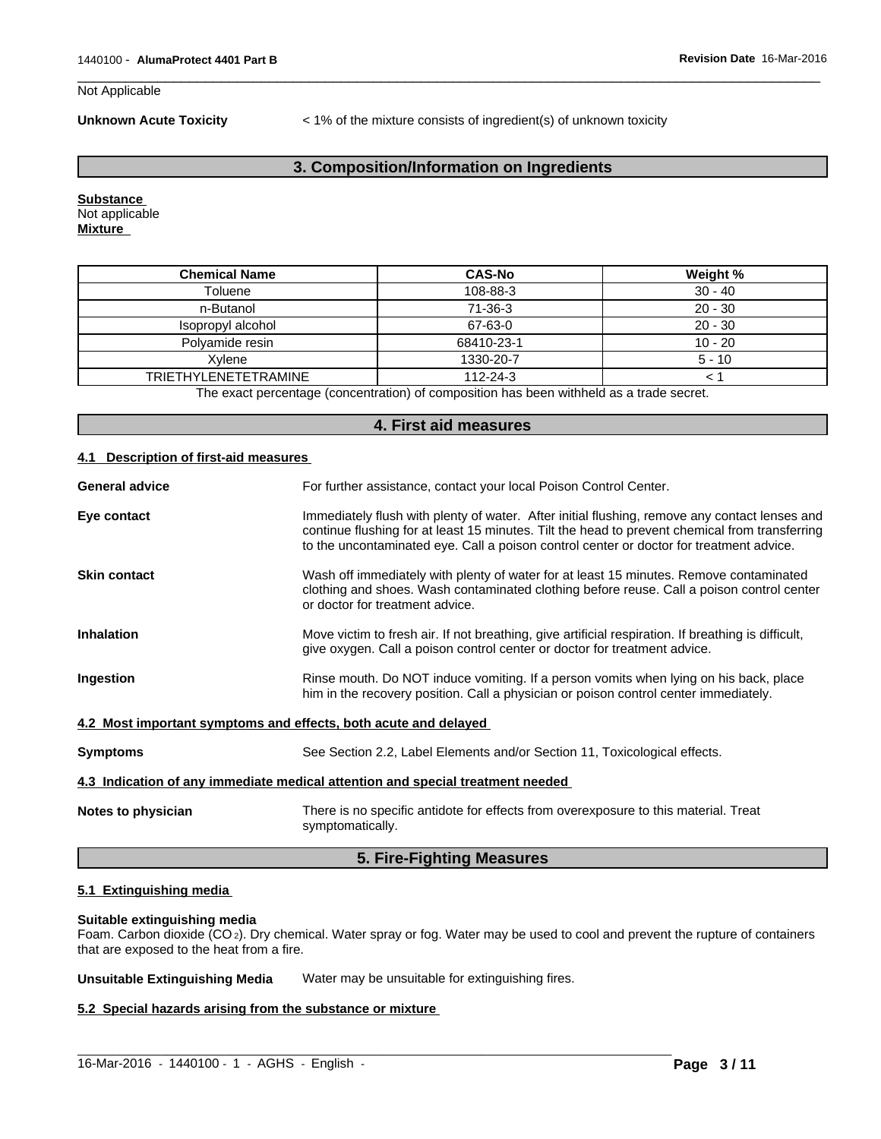#### Not Applicable

**Unknown Acute Toxicity** < 1% of the mixture consists of ingredient(s) of unknown toxicity

 $\overline{\phantom{a}}$  ,  $\overline{\phantom{a}}$  ,  $\overline{\phantom{a}}$  ,  $\overline{\phantom{a}}$  ,  $\overline{\phantom{a}}$  ,  $\overline{\phantom{a}}$  ,  $\overline{\phantom{a}}$  ,  $\overline{\phantom{a}}$  ,  $\overline{\phantom{a}}$  ,  $\overline{\phantom{a}}$  ,  $\overline{\phantom{a}}$  ,  $\overline{\phantom{a}}$  ,  $\overline{\phantom{a}}$  ,  $\overline{\phantom{a}}$  ,  $\overline{\phantom{a}}$  ,  $\overline{\phantom{a}}$ 

# **3. Composition/Information on Ingredients**

**Substance**  Not applicable **Mixture** 

| <b>Chemical Name</b>        | <b>CAS-No</b>  | Weight %  |
|-----------------------------|----------------|-----------|
| Toluene                     | 108-88-3       | $30 - 40$ |
| n-Butanol                   | 71-36-3        | $20 - 30$ |
| Isopropyl alcohol           | 67-63-0        | $20 - 30$ |
| Polvamide resin             | 68410-23-1     | $10 - 20$ |
| Xvlene                      | 1330-20-7      | $5 - 10$  |
| <b>TRIETHYLENETETRAMINE</b> | $112 - 24 - 3$ |           |

The exact percentage (concentration) of composition has been withheld as a trade secret.

| 4. First aid measures                                           |                                                                                                                                                                                                                                                                                            |  |  |  |  |
|-----------------------------------------------------------------|--------------------------------------------------------------------------------------------------------------------------------------------------------------------------------------------------------------------------------------------------------------------------------------------|--|--|--|--|
| Description of first-aid measures<br>4.1                        |                                                                                                                                                                                                                                                                                            |  |  |  |  |
| <b>General advice</b>                                           | For further assistance, contact your local Poison Control Center.                                                                                                                                                                                                                          |  |  |  |  |
| Eye contact                                                     | Immediately flush with plenty of water. After initial flushing, remove any contact lenses and<br>continue flushing for at least 15 minutes. Tilt the head to prevent chemical from transferring<br>to the uncontaminated eye. Call a poison control center or doctor for treatment advice. |  |  |  |  |
| <b>Skin contact</b>                                             | Wash off immediately with plenty of water for at least 15 minutes. Remove contaminated<br>clothing and shoes. Wash contaminated clothing before reuse. Call a poison control center<br>or doctor for treatment advice.                                                                     |  |  |  |  |
| <b>Inhalation</b>                                               | Move victim to fresh air. If not breathing, give artificial respiration. If breathing is difficult,<br>give oxygen. Call a poison control center or doctor for treatment advice.                                                                                                           |  |  |  |  |
| Ingestion                                                       | Rinse mouth. Do NOT induce vomiting. If a person vomits when lying on his back, place<br>him in the recovery position. Call a physician or poison control center immediately.                                                                                                              |  |  |  |  |
| 4.2 Most important symptoms and effects, both acute and delayed |                                                                                                                                                                                                                                                                                            |  |  |  |  |
| <b>Symptoms</b>                                                 | See Section 2.2, Label Elements and/or Section 11, Toxicological effects.                                                                                                                                                                                                                  |  |  |  |  |
|                                                                 | 4.3 Indication of any immediate medical attention and special treatment needed                                                                                                                                                                                                             |  |  |  |  |
| Notes to physician                                              | There is no specific antidote for effects from overexposure to this material. Treat<br>symptomatically.                                                                                                                                                                                    |  |  |  |  |

# **5. Fire-Fighting Measures**

# **5.1 Extinguishing media**

#### **Suitable extinguishing media**

Foam. Carbon dioxide (CO 2). Dry chemical. Water spray or fog. Water may be used to cool and prevent the rupture of containers that are exposed to the heat from a fire.

**Unsuitable Extinguishing Media** Water may be unsuitable for extinguishing fires.

 $\_$  , and the set of the set of the set of the set of the set of the set of the set of the set of the set of the set of the set of the set of the set of the set of the set of the set of the set of the set of the set of th

#### **5.2 Special hazards arising from the substance or mixture**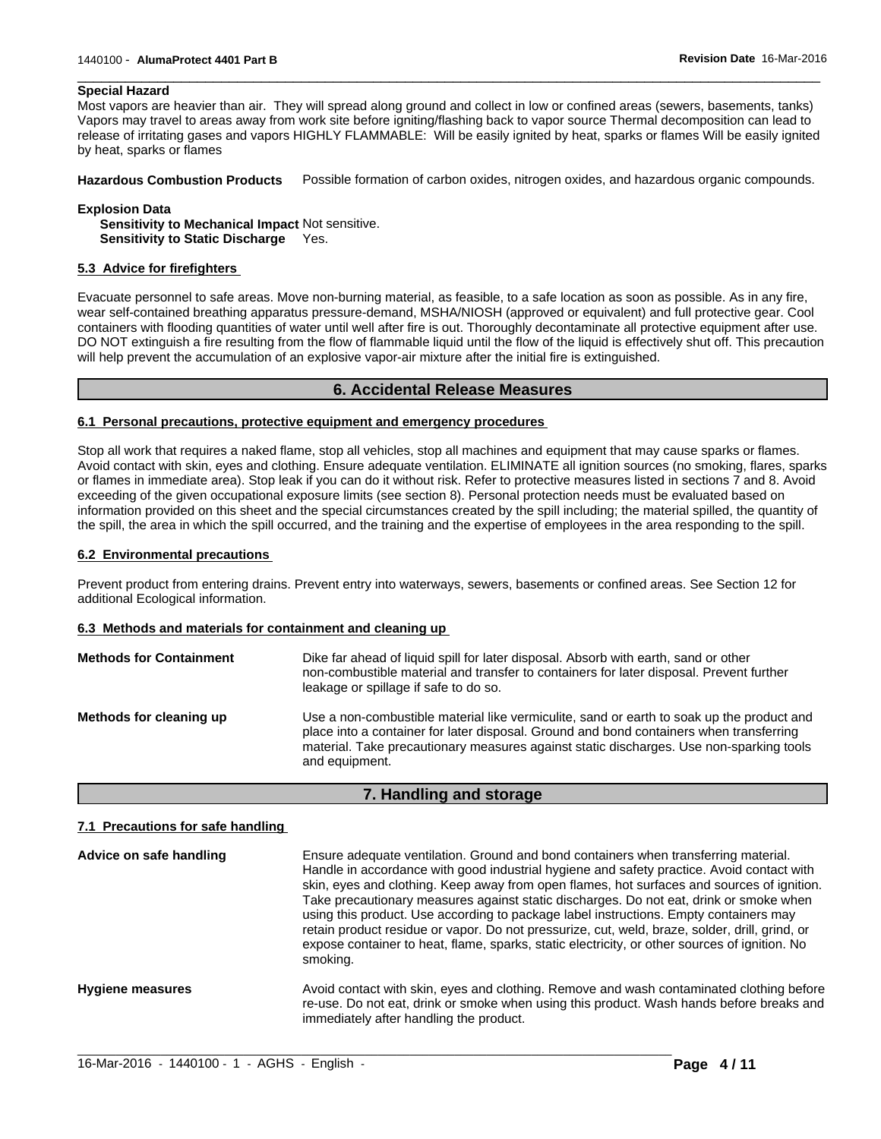#### **Special Hazard**

Most vapors are heavier than air. They will spread along ground and collect in low or confined areas (sewers, basements, tanks) Vapors may travel to areas away from work site before igniting/flashing back to vapor source Thermal decomposition can lead to release of irritating gases and vapors HIGHLY FLAMMABLE: Will be easily ignited by heat, sparks or flames Will be easily ignited by heat, sparks or flames

 $\overline{\phantom{a}}$  ,  $\overline{\phantom{a}}$  ,  $\overline{\phantom{a}}$  ,  $\overline{\phantom{a}}$  ,  $\overline{\phantom{a}}$  ,  $\overline{\phantom{a}}$  ,  $\overline{\phantom{a}}$  ,  $\overline{\phantom{a}}$  ,  $\overline{\phantom{a}}$  ,  $\overline{\phantom{a}}$  ,  $\overline{\phantom{a}}$  ,  $\overline{\phantom{a}}$  ,  $\overline{\phantom{a}}$  ,  $\overline{\phantom{a}}$  ,  $\overline{\phantom{a}}$  ,  $\overline{\phantom{a}}$ 

**Hazardous Combustion Products** Possible formation of carbon oxides, nitrogen oxides, and hazardous organic compounds.

#### **Explosion Data**

**Sensitivity to Mechanical Impact** Not sensitive. **Sensitivity to Static Discharge** Yes.

#### **5.3 Advice for firefighters**

Evacuate personnel to safe areas. Move non-burning material, as feasible, to a safe location as soon as possible. As in any fire, wear self-contained breathing apparatus pressure-demand, MSHA/NIOSH (approved or equivalent) and full protective gear. Cool containers with flooding quantities of water until well after fire is out. Thoroughly decontaminate all protective equipment after use. DO NOT extinguish a fire resulting from the flow of flammable liquid until the flow of the liquid is effectively shut off. This precaution will help prevent the accumulation of an explosive vapor-air mixture after the initial fire is extinguished.

#### **6. Accidental Release Measures**

#### **6.1 Personal precautions, protective equipment and emergency procedures**

Stop all work that requires a naked flame, stop all vehicles, stop all machines and equipment that may cause sparks or flames. Avoid contact with skin, eyes and clothing. Ensure adequate ventilation. ELIMINATE all ignition sources (no smoking, flares, sparks or flames in immediate area). Stop leak if you can do it without risk. Refer to protective measures listed in sections 7 and 8. Avoid exceeding of the given occupational exposure limits (see section 8). Personal protection needs must be evaluated based on information provided on this sheet and the special circumstances created by the spill including; the material spilled, the quantity of the spill, the area in which the spill occurred, and the training and the expertise of employees in the area responding to the spill.

#### **6.2 Environmental precautions**

Prevent product from entering drains. Prevent entry into waterways, sewers, basements or confined areas. See Section 12 for additional Ecological information.

#### **6.3 Methods and materials for containment and cleaning up**

| <b>Methods for Containment</b> | Dike far ahead of liquid spill for later disposal. Absorb with earth, sand or other<br>non-combustible material and transfer to containers for later disposal. Prevent further<br>leakage or spillage if safe to do so.                                                                           |
|--------------------------------|---------------------------------------------------------------------------------------------------------------------------------------------------------------------------------------------------------------------------------------------------------------------------------------------------|
| Methods for cleaning up        | Use a non-combustible material like vermiculite, sand or earth to soak up the product and<br>place into a container for later disposal. Ground and bond containers when transferring<br>material. Take precautionary measures against static discharges. Use non-sparking tools<br>and equipment. |

#### **7. Handling and storage**

#### **7.1 Precautions for safe handling**

| Advice on safe handling | Ensure adequate ventilation. Ground and bond containers when transferring material.<br>Handle in accordance with good industrial hygiene and safety practice. Avoid contact with<br>skin, eyes and clothing. Keep away from open flames, hot surfaces and sources of ignition.<br>Take precautionary measures against static discharges. Do not eat, drink or smoke when<br>using this product. Use according to package label instructions. Empty containers may<br>retain product residue or vapor. Do not pressurize, cut, weld, braze, solder, drill, grind, or<br>expose container to heat, flame, sparks, static electricity, or other sources of ignition. No<br>smoking. |
|-------------------------|----------------------------------------------------------------------------------------------------------------------------------------------------------------------------------------------------------------------------------------------------------------------------------------------------------------------------------------------------------------------------------------------------------------------------------------------------------------------------------------------------------------------------------------------------------------------------------------------------------------------------------------------------------------------------------|
| <b>Hygiene measures</b> | Avoid contact with skin, eyes and clothing. Remove and wash contaminated clothing before<br>re-use. Do not eat, drink or smoke when using this product. Wash hands before breaks and<br>immediately after handling the product.                                                                                                                                                                                                                                                                                                                                                                                                                                                  |

 $\_$  ,  $\_$  ,  $\_$  ,  $\_$  ,  $\_$  ,  $\_$  ,  $\_$  ,  $\_$  ,  $\_$  ,  $\_$  ,  $\_$  ,  $\_$  ,  $\_$  ,  $\_$  ,  $\_$  ,  $\_$  ,  $\_$  ,  $\_$  ,  $\_$  ,  $\_$  ,  $\_$  ,  $\_$  ,  $\_$  ,  $\_$  ,  $\_$  ,  $\_$  ,  $\_$  ,  $\_$  ,  $\_$  ,  $\_$  ,  $\_$  ,  $\_$  ,  $\_$  ,  $\_$  ,  $\_$  ,  $\_$  ,  $\_$  ,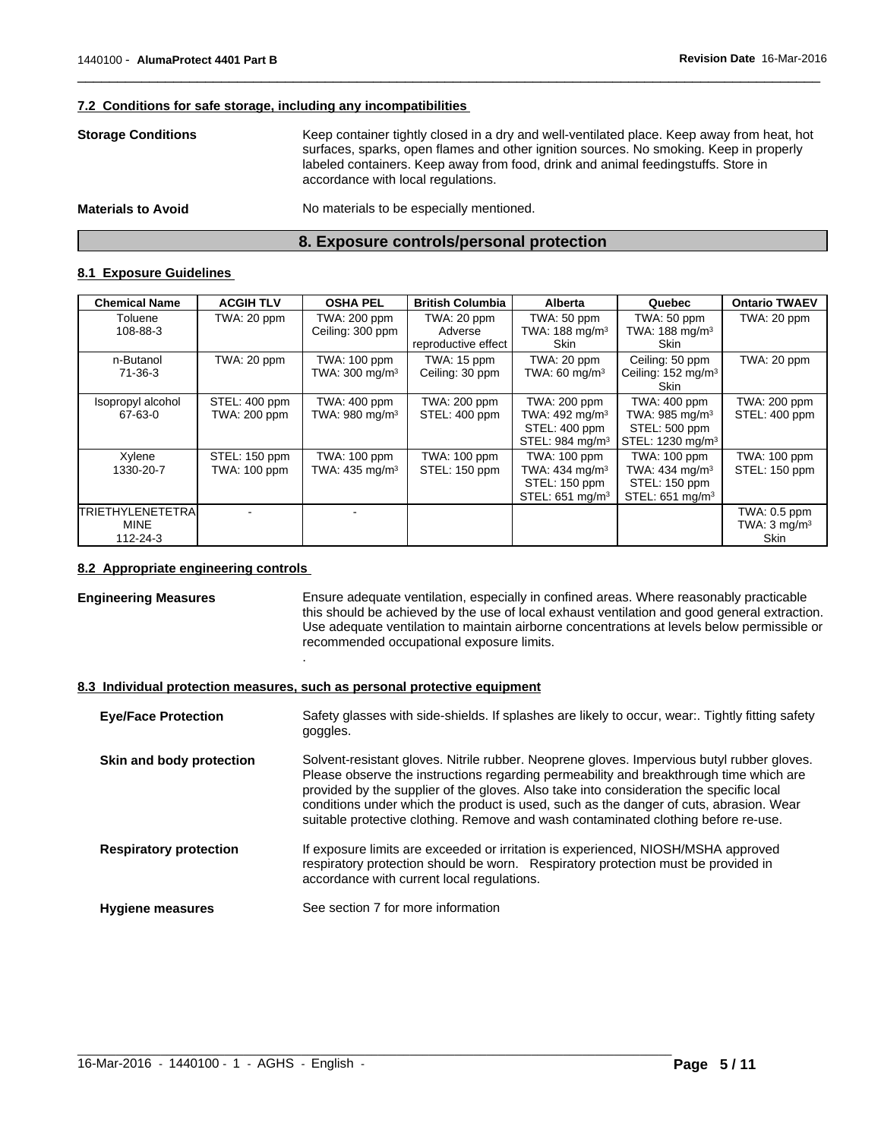#### **7.2 Conditions for safe storage, including any incompatibilities**

| <b>Storage Conditions</b> | Keep container tightly closed in a dry and well-ventilated place. Keep away from heat, hot<br>surfaces, sparks, open flames and other ignition sources. No smoking. Keep in properly<br>labeled containers. Keep away from food, drink and animal feedingstuffs. Store in<br>accordance with local regulations. |
|---------------------------|-----------------------------------------------------------------------------------------------------------------------------------------------------------------------------------------------------------------------------------------------------------------------------------------------------------------|
| <b>Materials to Avoid</b> | No materials to be especially mentioned.                                                                                                                                                                                                                                                                        |

 $\overline{\phantom{a}}$  ,  $\overline{\phantom{a}}$  ,  $\overline{\phantom{a}}$  ,  $\overline{\phantom{a}}$  ,  $\overline{\phantom{a}}$  ,  $\overline{\phantom{a}}$  ,  $\overline{\phantom{a}}$  ,  $\overline{\phantom{a}}$  ,  $\overline{\phantom{a}}$  ,  $\overline{\phantom{a}}$  ,  $\overline{\phantom{a}}$  ,  $\overline{\phantom{a}}$  ,  $\overline{\phantom{a}}$  ,  $\overline{\phantom{a}}$  ,  $\overline{\phantom{a}}$  ,  $\overline{\phantom{a}}$ 

# **8. Exposure controls/personal protection**

#### **8.1 Exposure Guidelines**

| <b>Chemical Name</b>      | <b>ACGIH TLV</b> | <b>OSHA PEL</b>            | <b>British Columbia</b> | <b>Alberta</b>              | Quebec                        | <b>Ontario TWAEV</b>    |
|---------------------------|------------------|----------------------------|-------------------------|-----------------------------|-------------------------------|-------------------------|
| Toluene                   | TWA: 20 ppm      | TWA: 200 ppm               | TWA: 20 ppm             | TWA: 50 ppm                 | TWA: 50 ppm                   | TWA: 20 ppm             |
| 108-88-3                  |                  | Ceiling: 300 ppm           | Adverse                 | TWA: 188 mg/m <sup>3</sup>  | TWA: $188 \text{ mg/m}^3$     |                         |
|                           |                  |                            | reproductive effect     | Skin                        | Skin                          |                         |
| n-Butanol                 | TWA: 20 ppm      | TWA: 100 ppm               | TWA: 15 ppm             | TWA: 20 ppm                 | Ceiling: 50 ppm               | TWA: 20 ppm             |
| 71-36-3                   |                  | TWA: 300 mg/m <sup>3</sup> | Ceiling: 30 ppm         | TWA: 60 mg/m $3$            | Ceiling: $152 \text{ mg/m}^3$ |                         |
|                           |                  |                            |                         |                             | Skin                          |                         |
| Isopropyl alcohol         | STEL: 400 ppm    | TWA: 400 ppm               | TWA: 200 ppm            | TWA: 200 ppm                | TWA: 400 ppm                  | TWA: 200 ppm            |
| 67-63-0                   | TWA: 200 ppm     | TWA: 980 mg/m <sup>3</sup> | STEL: 400 ppm           | TWA: 492 mg/m <sup>3</sup>  | TWA: 985 mg/m <sup>3</sup>    | STEL: 400 ppm           |
|                           |                  |                            |                         | STEL: 400 ppm               | STEL: 500 ppm                 |                         |
|                           |                  |                            |                         | STEL: 984 mg/m <sup>3</sup> | STEL: 1230 mg/m <sup>3</sup>  |                         |
| Xylene                    | STEL: 150 ppm    | TWA: 100 ppm               | TWA: 100 ppm            | TWA: 100 ppm                | TWA: 100 ppm                  | TWA: 100 ppm            |
| 1330-20-7                 | TWA: 100 ppm     | TWA: 435 mg/m <sup>3</sup> | STEL: 150 ppm           | TWA: 434 mg/m <sup>3</sup>  | TWA: 434 mg/m <sup>3</sup>    | STEL: 150 ppm           |
|                           |                  |                            |                         | STEL: 150 ppm               | STEL: 150 ppm                 |                         |
|                           |                  |                            |                         | STEL: 651 mg/m <sup>3</sup> | STEL: 651 mg/m <sup>3</sup>   |                         |
| <b>ITRIETHYLENETETRAI</b> |                  |                            |                         |                             |                               | TWA: 0.5 ppm            |
| <b>MINE</b>               |                  |                            |                         |                             |                               | TWA: $3 \text{ mg/m}^3$ |
| 112-24-3                  |                  |                            |                         |                             |                               | <b>Skin</b>             |

#### **8.2 Appropriate engineering controls**

**Engineering Measures** Ensure adequate ventilation, especially in confined areas. Where reasonably practicable this should be achieved by the use of local exhaust ventilation and good general extraction. Use adequate ventilation to maintain airborne concentrations at levels below permissible or recommended occupational exposure limits. .

### **8.3 Individual protection measures, such as personal protective equipment**

| <b>Eye/Face Protection</b>    | Safety glasses with side-shields. If splashes are likely to occur, wear Tightly fitting safety<br>goggles.                                                                                                                                                                                                                                                                                                                                                      |
|-------------------------------|-----------------------------------------------------------------------------------------------------------------------------------------------------------------------------------------------------------------------------------------------------------------------------------------------------------------------------------------------------------------------------------------------------------------------------------------------------------------|
| Skin and body protection      | Solvent-resistant gloves. Nitrile rubber. Neoprene gloves. Impervious butyl rubber gloves.<br>Please observe the instructions regarding permeability and breakthrough time which are<br>provided by the supplier of the gloves. Also take into consideration the specific local<br>conditions under which the product is used, such as the danger of cuts, abrasion. Wear<br>suitable protective clothing. Remove and wash contaminated clothing before re-use. |
| <b>Respiratory protection</b> | If exposure limits are exceeded or irritation is experienced, NIOSH/MSHA approved<br>respiratory protection should be worn. Respiratory protection must be provided in<br>accordance with current local regulations.                                                                                                                                                                                                                                            |
| <b>Hygiene measures</b>       | See section 7 for more information                                                                                                                                                                                                                                                                                                                                                                                                                              |

 $\_$  , and the set of the set of the set of the set of the set of the set of the set of the set of the set of the set of the set of the set of the set of the set of the set of the set of the set of the set of the set of th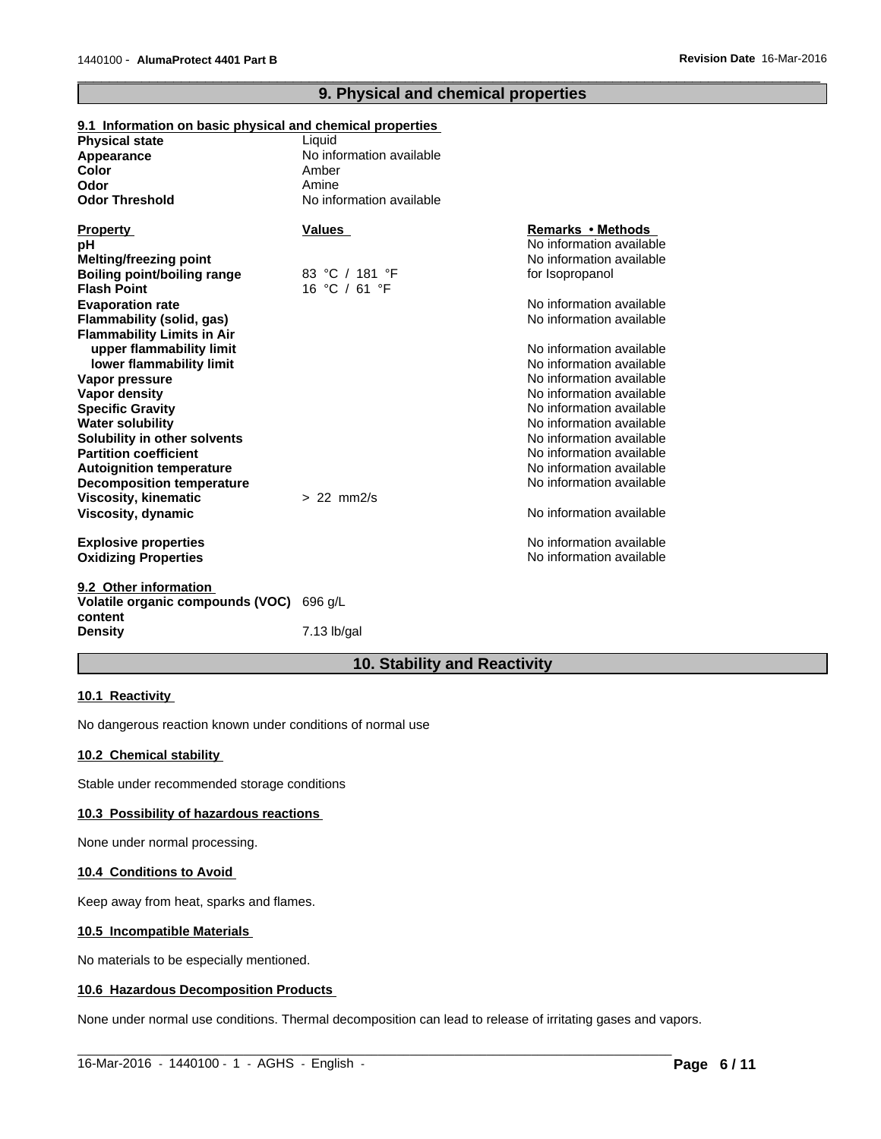# **9. Physical and chemical properties**

 $\overline{\phantom{a}}$  ,  $\overline{\phantom{a}}$  ,  $\overline{\phantom{a}}$  ,  $\overline{\phantom{a}}$  ,  $\overline{\phantom{a}}$  ,  $\overline{\phantom{a}}$  ,  $\overline{\phantom{a}}$  ,  $\overline{\phantom{a}}$  ,  $\overline{\phantom{a}}$  ,  $\overline{\phantom{a}}$  ,  $\overline{\phantom{a}}$  ,  $\overline{\phantom{a}}$  ,  $\overline{\phantom{a}}$  ,  $\overline{\phantom{a}}$  ,  $\overline{\phantom{a}}$  ,  $\overline{\phantom{a}}$ 

| <b>Physical state</b>                    | Liquid                   |                          |
|------------------------------------------|--------------------------|--------------------------|
| Appearance                               | No information available |                          |
| <b>Color</b>                             | Amber                    |                          |
| Odor                                     | Amine                    |                          |
| <b>Odor Threshold</b>                    | No information available |                          |
| <b>Property</b>                          | <b>Values</b>            | Remarks • Methods        |
| рH                                       |                          | No information available |
| Melting/freezing point                   |                          | No information available |
| <b>Boiling point/boiling range</b>       | 83 °C / 181 °F           | for Isopropanol          |
| <b>Flash Point</b>                       | 16 °C / 61 °F            |                          |
| <b>Evaporation rate</b>                  |                          | No information available |
| Flammability (solid, gas)                |                          | No information available |
| <b>Flammability Limits in Air</b>        |                          |                          |
| upper flammability limit                 |                          | No information available |
| lower flammability limit                 |                          | No information available |
| Vapor pressure                           |                          | No information available |
| <b>Vapor density</b>                     |                          | No information available |
| <b>Specific Gravity</b>                  |                          | No information available |
| <b>Water solubility</b>                  |                          | No information available |
| Solubility in other solvents             |                          | No information available |
| <b>Partition coefficient</b>             |                          | No information available |
| <b>Autoignition temperature</b>          |                          | No information available |
| <b>Decomposition temperature</b>         |                          | No information available |
| <b>Viscosity, kinematic</b>              | $> 22$ mm $2/s$          |                          |
| Viscosity, dynamic                       |                          | No information available |
| <b>Explosive properties</b>              |                          | No information available |
| <b>Oxidizing Properties</b>              |                          | No information available |
| 9.2 Other information                    |                          |                          |
| Volatile organic compounds (VOC) 696 g/L |                          |                          |

# **9.1 Information on basic physical and chemical properties**

**Volatile organic compounds (VOC) content Density** 7.13 lb/gal

#### **10. Stability and Reactivity**

#### **10.1 Reactivity**

No dangerous reaction known under conditions of normal use

#### **10.2 Chemical stability**

Stable under recommended storage conditions

#### **10.3 Possibility of hazardous reactions**

None under normal processing.

#### **10.4 Conditions to Avoid**

Keep away from heat, sparks and flames.

#### **10.5 Incompatible Materials**

No materials to be especially mentioned.

#### **10.6 Hazardous Decomposition Products**

None under normal use conditions. Thermal decomposition can lead to release of irritating gases and vapors.

 $\_$  ,  $\_$  ,  $\_$  ,  $\_$  ,  $\_$  ,  $\_$  ,  $\_$  ,  $\_$  ,  $\_$  ,  $\_$  ,  $\_$  ,  $\_$  ,  $\_$  ,  $\_$  ,  $\_$  ,  $\_$  ,  $\_$  ,  $\_$  ,  $\_$  ,  $\_$  ,  $\_$  ,  $\_$  ,  $\_$  ,  $\_$  ,  $\_$  ,  $\_$  ,  $\_$  ,  $\_$  ,  $\_$  ,  $\_$  ,  $\_$  ,  $\_$  ,  $\_$  ,  $\_$  ,  $\_$  ,  $\_$  ,  $\_$  ,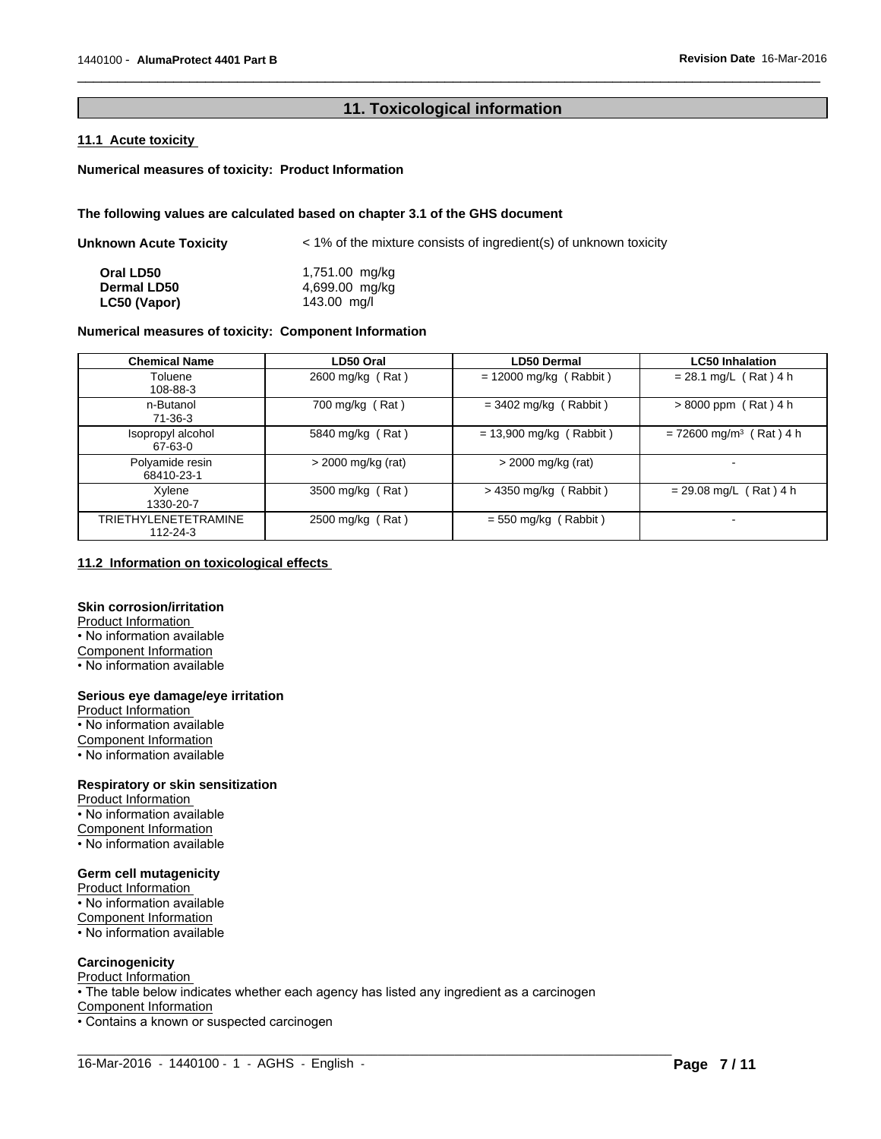# **11. Toxicological information**

 $\overline{\phantom{a}}$  ,  $\overline{\phantom{a}}$  ,  $\overline{\phantom{a}}$  ,  $\overline{\phantom{a}}$  ,  $\overline{\phantom{a}}$  ,  $\overline{\phantom{a}}$  ,  $\overline{\phantom{a}}$  ,  $\overline{\phantom{a}}$  ,  $\overline{\phantom{a}}$  ,  $\overline{\phantom{a}}$  ,  $\overline{\phantom{a}}$  ,  $\overline{\phantom{a}}$  ,  $\overline{\phantom{a}}$  ,  $\overline{\phantom{a}}$  ,  $\overline{\phantom{a}}$  ,  $\overline{\phantom{a}}$ 

#### **11.1 Acute toxicity**

#### **Numerical measures of toxicity: Product Information**

#### **The following values are calculated based on chapter 3.1 of the GHS document**

| <b>Unknown Acute Toxicity</b> | $\le$ 1% of the mixture consists of ingredient(s) of unknown toxicity |  |  |
|-------------------------------|-----------------------------------------------------------------------|--|--|
| Oral LD50                     | 1,751.00 mg/kg                                                        |  |  |
| <b>Dermal LD50</b>            | 4,699.00 mg/kg                                                        |  |  |
| LC50 (Vapor)                  | 143.00 mg/l                                                           |  |  |

# **Numerical measures of toxicity: Component Information**

| <b>Chemical Name</b>                    | LD50 Oral            | <b>LD50 Dermal</b>        | <b>LC50 Inhalation</b>                |
|-----------------------------------------|----------------------|---------------------------|---------------------------------------|
| Toluene<br>108-88-3                     | 2600 mg/kg (Rat)     | $= 12000$ mg/kg (Rabbit)  | $= 28.1$ mg/L (Rat) 4 h               |
| n-Butanol<br>$71-36-3$                  | 700 mg/kg (Rat)      | $=$ 3402 mg/kg (Rabbit)   | $> 8000$ ppm (Rat) 4 h                |
| Isopropyl alcohol<br>67-63-0            | 5840 mg/kg (Rat)     | $= 13,900$ mg/kg (Rabbit) | $= 72600$ mg/m <sup>3</sup> (Rat) 4 h |
| Polyamide resin<br>68410-23-1           | $>$ 2000 mg/kg (rat) | > 2000 mg/kg (rat)        |                                       |
| Xylene<br>1330-20-7                     | 3500 mg/kg (Rat)     | $>$ 4350 mg/kg (Rabbit)   | $= 29.08$ mg/L (Rat) 4 h              |
| <b>TRIETHYLENETETRAMINE</b><br>112-24-3 | 2500 mg/kg (Rat)     | $= 550$ mg/kg (Rabbit)    | $\overline{\phantom{0}}$              |

### **11.2 Information on toxicological effects**

#### **Skin corrosion/irritation**

Product Information • No information available Component Information • No information available

#### **Serious eye damage/eye irritation**

Product Information • No information available Component Information • No information available

#### **Respiratory or skin sensitization**

Product Information • No information available Component Information

• No information available

#### **Germ cell mutagenicity**

Product Information • No information available Component Information • No information available

#### **Carcinogenicity**

Product Information • The table below indicates whether each agency has listed any ingredient as a carcinogen Component Information • Contains a known or suspected carcinogen

 $\_$  ,  $\_$  ,  $\_$  ,  $\_$  ,  $\_$  ,  $\_$  ,  $\_$  ,  $\_$  ,  $\_$  ,  $\_$  ,  $\_$  ,  $\_$  ,  $\_$  ,  $\_$  ,  $\_$  ,  $\_$  ,  $\_$  ,  $\_$  ,  $\_$  ,  $\_$  ,  $\_$  ,  $\_$  ,  $\_$  ,  $\_$  ,  $\_$  ,  $\_$  ,  $\_$  ,  $\_$  ,  $\_$  ,  $\_$  ,  $\_$  ,  $\_$  ,  $\_$  ,  $\_$  ,  $\_$  ,  $\_$  ,  $\_$  , 16-Mar-2016 - 1440100 - 1 - AGHS - English -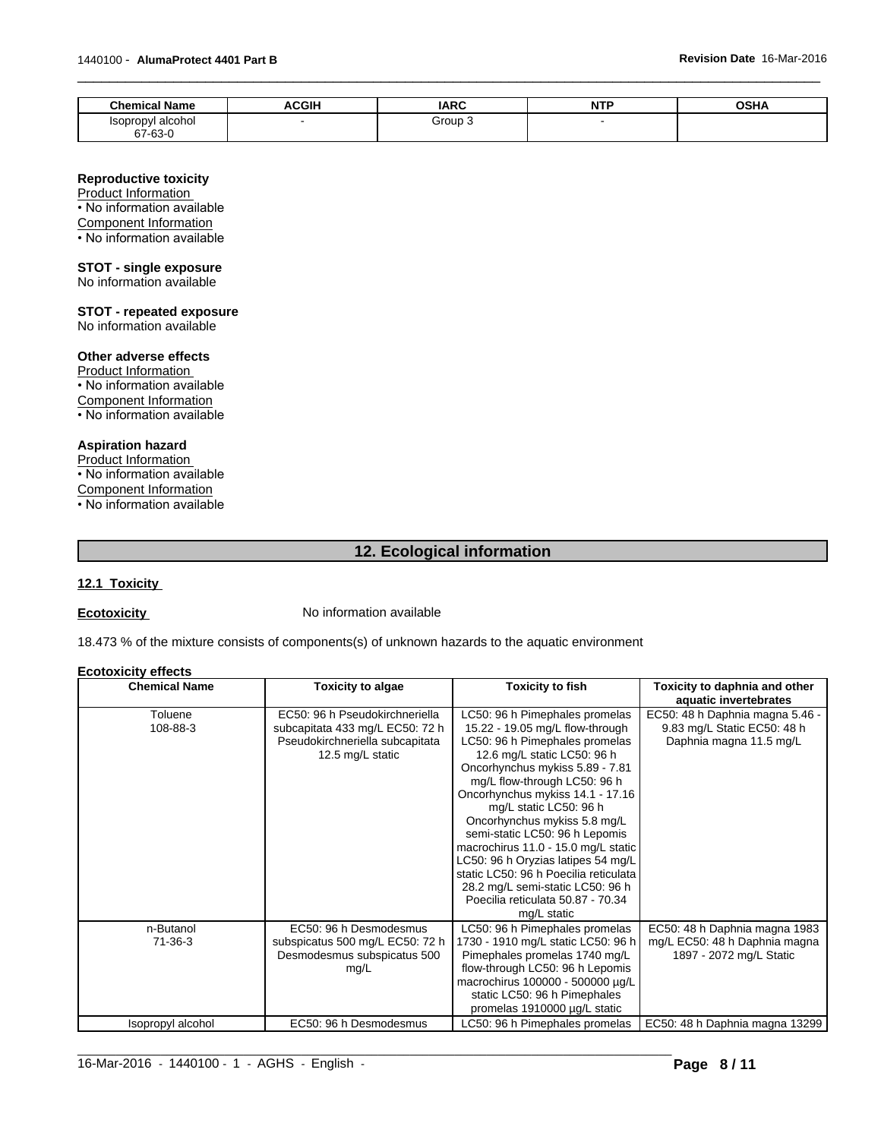| <b>Chemical Name</b>         | <b>ACGIH</b> | <b>IARC</b> | NTD<br>. | $\sim$ $\sim$<br>vəna |
|------------------------------|--------------|-------------|----------|-----------------------|
| Isopropyl alcohol<br>67-63-0 |              | Group       |          |                       |

 $\overline{\phantom{a}}$  ,  $\overline{\phantom{a}}$  ,  $\overline{\phantom{a}}$  ,  $\overline{\phantom{a}}$  ,  $\overline{\phantom{a}}$  ,  $\overline{\phantom{a}}$  ,  $\overline{\phantom{a}}$  ,  $\overline{\phantom{a}}$  ,  $\overline{\phantom{a}}$  ,  $\overline{\phantom{a}}$  ,  $\overline{\phantom{a}}$  ,  $\overline{\phantom{a}}$  ,  $\overline{\phantom{a}}$  ,  $\overline{\phantom{a}}$  ,  $\overline{\phantom{a}}$  ,  $\overline{\phantom{a}}$ 

#### **Reproductive toxicity**

Product Information • No information available Component Information • No information available

#### **STOT - single exposure**

No information available

# **STOT - repeated exposure**

No information available

# **Other adverse effects**

Product Information

• No information available

Component Information

• No information available

# **Aspiration hazard**

Product Information • No information available Component Information • No information available

# **12. Ecological information**

## **12.1 Toxicity**

**Ecotoxicity No information available** 

18.473 % of the mixture consists of components(s) of unknown hazards to the aquatic environment

#### **Ecotoxicity effects**

| <b>Chemical Name</b> | <b>Toxicity to algae</b>                                                                                                 | <b>Toxicity to fish</b>                                                                                                                                                                                                                                                                                                                                                                                                                                                                                                                             | Toxicity to daphnia and other<br>aquatic invertebrates                                    |
|----------------------|--------------------------------------------------------------------------------------------------------------------------|-----------------------------------------------------------------------------------------------------------------------------------------------------------------------------------------------------------------------------------------------------------------------------------------------------------------------------------------------------------------------------------------------------------------------------------------------------------------------------------------------------------------------------------------------------|-------------------------------------------------------------------------------------------|
| Toluene<br>108-88-3  | EC50: 96 h Pseudokirchneriella<br>subcapitata 433 mg/L EC50: 72 h<br>Pseudokirchneriella subcapitata<br>12.5 mg/L static | LC50: 96 h Pimephales promelas<br>15.22 - 19.05 mg/L flow-through<br>LC50: 96 h Pimephales promelas<br>12.6 mg/L static LC50: 96 h<br>Oncorhynchus mykiss 5.89 - 7.81<br>mg/L flow-through LC50: 96 h<br>Oncorhynchus mykiss 14.1 - 17.16<br>mg/L static LC50: 96 h<br>Oncorhynchus mykiss 5.8 mg/L<br>semi-static LC50: 96 h Lepomis<br>macrochirus 11.0 - 15.0 mg/L static<br>LC50: 96 h Oryzias latipes 54 mg/L<br>static LC50: 96 h Poecilia reticulata<br>28.2 mg/L semi-static LC50: 96 h<br>Poecilia reticulata 50.87 - 70.34<br>mg/L static | EC50: 48 h Daphnia magna 5.46 -<br>9.83 mg/L Static EC50: 48 h<br>Daphnia magna 11.5 mg/L |
| n-Butanol<br>71-36-3 | EC50: 96 h Desmodesmus<br>subspicatus 500 mg/L EC50: 72 h<br>Desmodesmus subspicatus 500<br>mg/L                         | LC50: 96 h Pimephales promelas<br>1730 - 1910 mg/L static LC50: 96 h<br>Pimephales promelas 1740 mg/L<br>flow-through LC50: 96 h Lepomis<br>macrochirus 100000 - 500000 µg/L<br>static LC50: 96 h Pimephales<br>promelas 1910000 µg/L static                                                                                                                                                                                                                                                                                                        | EC50: 48 h Daphnia magna 1983<br>mg/L EC50: 48 h Daphnia magna<br>1897 - 2072 mg/L Static |
| Isopropyl alcohol    | EC50: 96 h Desmodesmus                                                                                                   | LC50: 96 h Pimephales promelas                                                                                                                                                                                                                                                                                                                                                                                                                                                                                                                      | EC50: 48 h Daphnia magna 13299                                                            |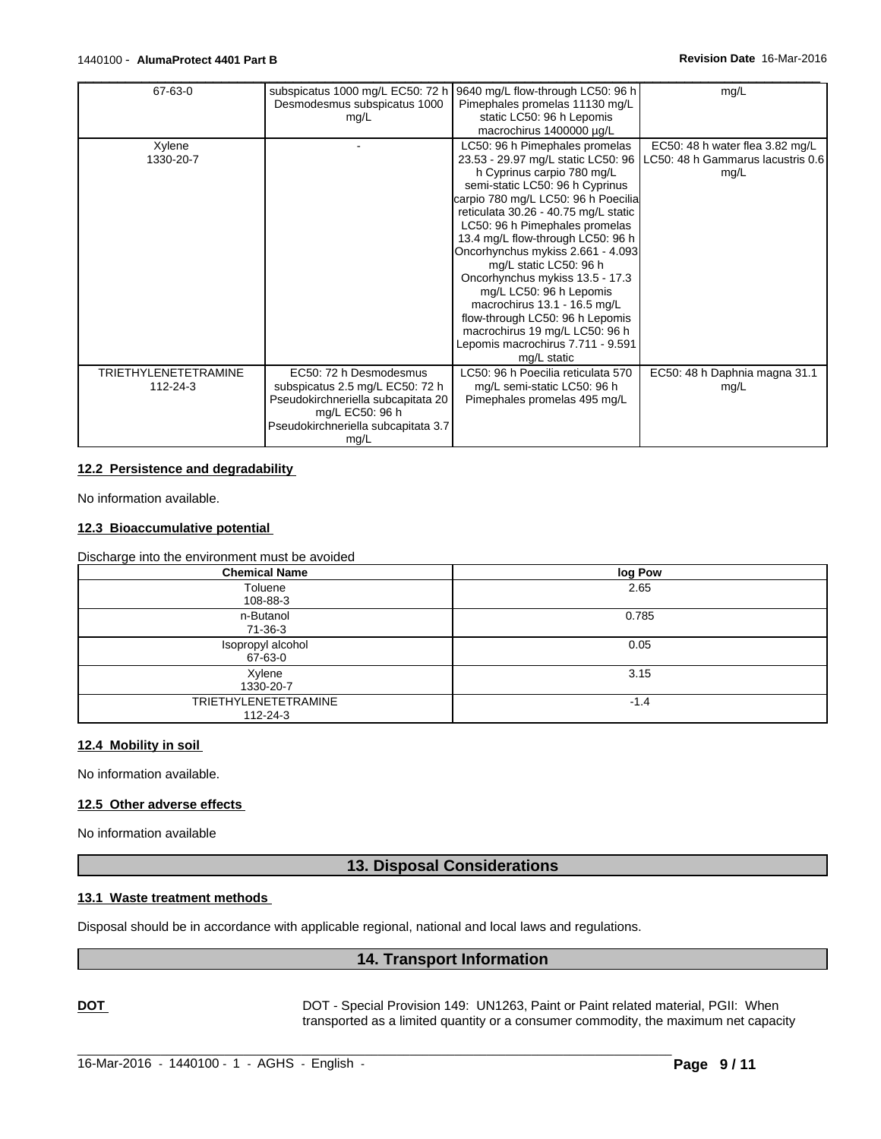| 67-63-0                     | subspicatus 1000 mg/L EC50: 72 h    | 9640 mg/L flow-through LC50: 96 h    | mg/L                              |
|-----------------------------|-------------------------------------|--------------------------------------|-----------------------------------|
|                             | Desmodesmus subspicatus 1000        | Pimephales promelas 11130 mg/L       |                                   |
|                             | mg/L                                | static LC50: 96 h Lepomis            |                                   |
|                             |                                     | macrochirus 1400000 µg/L             |                                   |
| Xylene                      |                                     | LC50: 96 h Pimephales promelas       | EC50: 48 h water flea 3.82 mg/L   |
| 1330-20-7                   |                                     | 23.53 - 29.97 mg/L static LC50: 96   | LC50: 48 h Gammarus lacustris 0.6 |
|                             |                                     | h Cyprinus carpio 780 mg/L           | mg/L                              |
|                             |                                     | semi-static LC50: 96 h Cyprinus      |                                   |
|                             |                                     | carpio 780 mg/L LC50: 96 h Poecilia  |                                   |
|                             |                                     | reticulata 30.26 - 40.75 mg/L static |                                   |
|                             |                                     | LC50: 96 h Pimephales promelas       |                                   |
|                             |                                     | 13.4 mg/L flow-through LC50: 96 h    |                                   |
|                             |                                     | Oncorhynchus mykiss 2.661 - 4.093    |                                   |
|                             |                                     | mg/L static LC50: 96 h               |                                   |
|                             |                                     | Oncorhynchus mykiss 13.5 - 17.3      |                                   |
|                             |                                     | mg/L LC50: 96 h Lepomis              |                                   |
|                             |                                     | macrochirus 13.1 - 16.5 mg/L         |                                   |
|                             |                                     | flow-through LC50: 96 h Lepomis      |                                   |
|                             |                                     | macrochirus 19 mg/L LC50: 96 h       |                                   |
|                             |                                     | Lepomis macrochirus 7.711 - 9.591    |                                   |
|                             |                                     | mg/L static                          |                                   |
| <b>TRIETHYLENETETRAMINE</b> | EC50: 72 h Desmodesmus              | LC50: 96 h Poecilia reticulata 570   | EC50: 48 h Daphnia magna 31.1     |
| 112-24-3                    | subspicatus 2.5 mg/L EC50: 72 h     | mg/L semi-static LC50: 96 h          | mg/L                              |
|                             | Pseudokirchneriella subcapitata 20  | Pimephales promelas 495 mg/L         |                                   |
|                             | mg/L EC50: 96 h                     |                                      |                                   |
|                             | Pseudokirchneriella subcapitata 3.7 |                                      |                                   |
|                             | mg/L                                |                                      |                                   |

#### **12.2 Persistence and degradability**

No information available.

#### **12.3 Bioaccumulative potential**

Discharge into the environment must be avoided

| <b>Chemical Name</b>                          | log Pow |
|-----------------------------------------------|---------|
| Toluene<br>108-88-3                           | 2.65    |
| n-Butanol<br>71-36-3                          | 0.785   |
| Isopropyl alcohol<br>67-63-0                  | 0.05    |
| Xylene<br>1330-20-7                           | 3.15    |
| <b>TRIETHYLENETETRAMINE</b><br>$112 - 24 - 3$ | $-1.4$  |

# **12.4 Mobility in soil**

No information available.

#### **12.5 Other adverse effects**

No information available

# **13. Disposal Considerations**

#### **13.1 Waste treatment methods**

Disposal should be in accordance with applicable regional, national and local laws and regulations.

 $\_$  , and the set of the set of the set of the set of the set of the set of the set of the set of the set of the set of the set of the set of the set of the set of the set of the set of the set of the set of the set of th

# **14. Transport Information**

**DOT DOT** - Special Provision 149: UN1263, Paint or Paint related material, PGII: When transported as a limited quantity or a consumer commodity, the maximum net capacity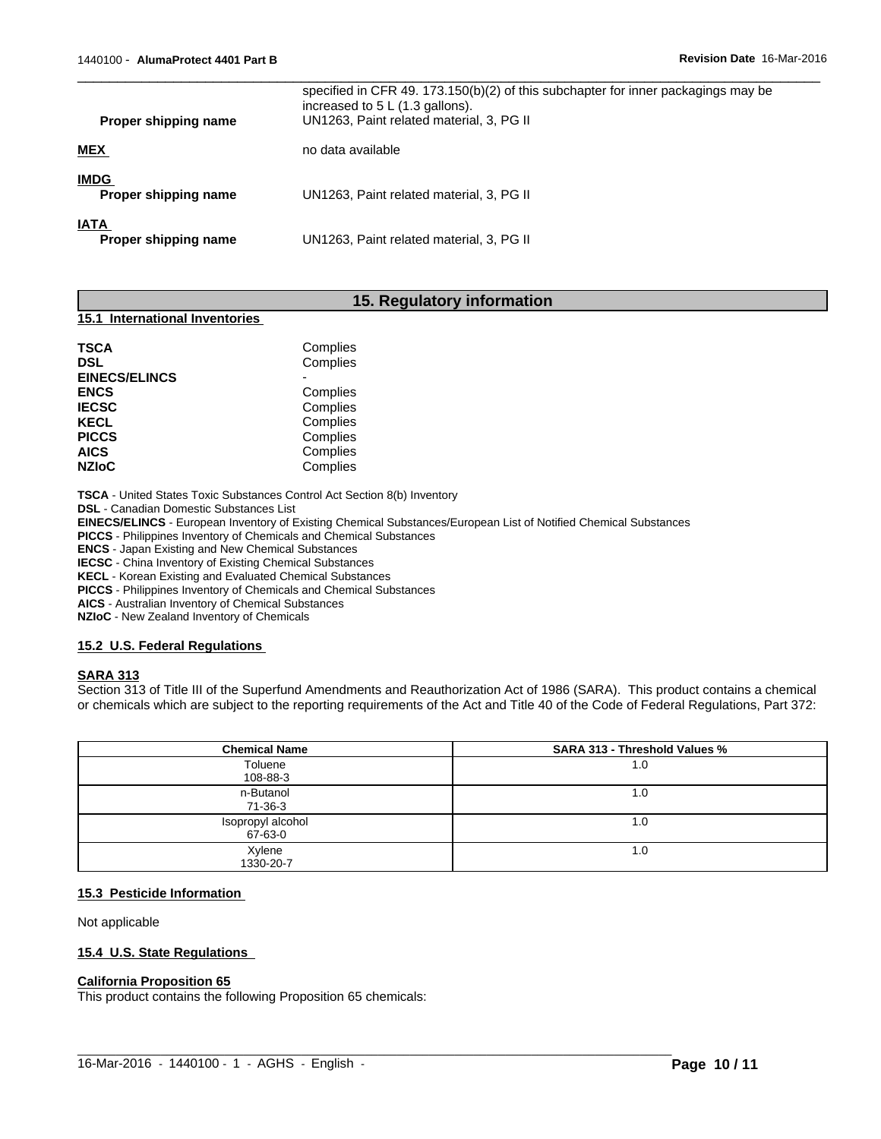| Proper shipping name                | specified in CFR 49. 173.150(b)(2) of this subchapter for inner packagings may be<br>increased to $5 L (1.3$ gallons).<br>UN1263, Paint related material, 3, PG II |
|-------------------------------------|--------------------------------------------------------------------------------------------------------------------------------------------------------------------|
| <b>MEX</b>                          | no data available                                                                                                                                                  |
| <b>IMDG</b><br>Proper shipping name | UN1263, Paint related material, 3, PG II                                                                                                                           |
| <b>IATA</b><br>Proper shipping name | UN1263, Paint related material, 3, PG II                                                                                                                           |

# **15. Regulatory information**

#### **15.1 International Inventories**

| Complies<br>Complies<br>Complies<br>Complies<br>Complies<br>Complies<br>Complies |          |
|----------------------------------------------------------------------------------|----------|
|                                                                                  |          |
|                                                                                  | Complies |

**TSCA** - United States Toxic Substances Control Act Section 8(b) Inventory

**DSL** - Canadian Domestic Substances List

**EINECS/ELINCS** - European Inventory of Existing Chemical Substances/European List of Notified Chemical Substances

 $\_$  , and the set of the set of the set of the set of the set of the set of the set of the set of the set of the set of the set of the set of the set of the set of the set of the set of the set of the set of the set of th

**PICCS** - Philippines Inventory of Chemicals and Chemical Substances

**ENCS** - Japan Existing and New Chemical Substances

**IECSC** - China Inventory of Existing Chemical Substances

**KECL** - Korean Existing and Evaluated Chemical Substances

**PICCS** - Philippines Inventory of Chemicals and Chemical Substances

**AICS** - Australian Inventory of Chemical Substances

**NZIoC** - New Zealand Inventory of Chemicals

#### **15.2 U.S. Federal Regulations**

#### **SARA 313**

Section 313 of Title III of the Superfund Amendments and Reauthorization Act of 1986 (SARA). This product contains a chemical or chemicals which are subject to the reporting requirements of the Act and Title 40 of the Code of Federal Regulations, Part 372:

| <b>Chemical Name</b>         | <b>SARA 313 - Threshold Values %</b> |
|------------------------------|--------------------------------------|
| Toluene<br>108-88-3          | 1.0                                  |
| n-Butanol<br>71-36-3         | 1.0                                  |
| Isopropyl alcohol<br>67-63-0 | 1.0                                  |
| Xylene<br>1330-20-7          | 1.0                                  |

# **15.3 Pesticide Information**

Not applicable

#### **15.4 U.S. State Regulations**

#### **California Proposition 65**

This product contains the following Proposition 65 chemicals: